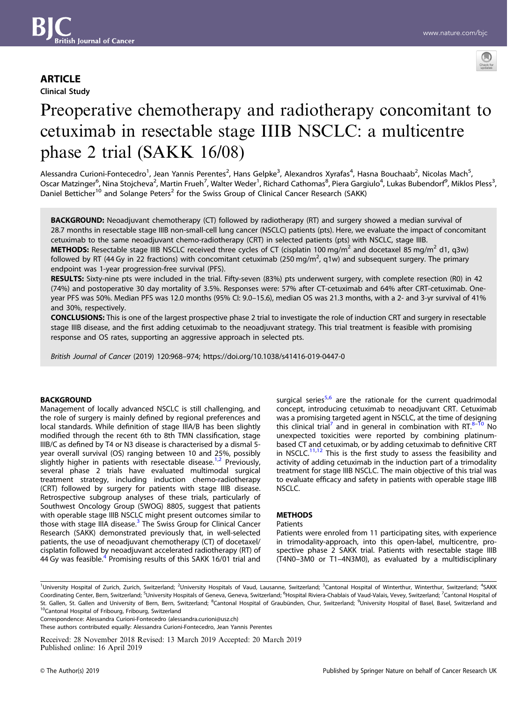# **ARTICLE**

Clinical Study



# Preoperative chemotherapy and radiotherapy concomitant to cetuximab in resectable stage IIIB NSCLC: a multicentre phase 2 trial (SAKK 16/08)

Alessandra Curioni-Fontecedro<sup>1</sup>, Jean Yannis Perentes<sup>2</sup>, Hans Gelpke<sup>3</sup>, Alexandros Xyrafas<sup>4</sup>, Hasna Bouchaab<sup>2</sup>, Nicolas Mach<sup>5</sup>, Oscar Matzinger<sup>6</sup>, Nina Stojcheva<sup>2</sup>, Martin Frueh<sup>7</sup>, Walter Weder<sup>1</sup>, Richard Cathomas<sup>8</sup>, Piera Gargiulo<sup>4</sup>, Lukas Bubendorf<sup>9</sup>, Miklos Pless<sup>3</sup>, Daniel Betticher<sup>10</sup> and Solange Peters<sup>2</sup> for the Swiss Group of Clinical Cancer Research (SAKK)

BACKGROUND: Neoadjuvant chemotherapy (CT) followed by radiotherapy (RT) and surgery showed a median survival of 28.7 months in resectable stage IIIB non-small-cell lung cancer (NSCLC) patients (pts). Here, we evaluate the impact of concomitant cetuximab to the same neoadjuvant chemo-radiotherapy (CRT) in selected patients (pts) with NSCLC, stage IIIB.

**METHODS:** Resectable stage IIIB NSCLC received three cycles of CT (cisplatin 100 mg/m<sup>2</sup> and docetaxel 85 mg/m<sup>2</sup> d1, q3w) followed by RT (44 Gy in 22 fractions) with concomitant cetuximab (250 mg/m<sup>2</sup>, q1w) and subsequent surgery. The primary endpoint was 1-year progression-free survival (PFS).

RESULTS: Sixty-nine pts were included in the trial. Fifty-seven (83%) pts underwent surgery, with complete resection (R0) in 42 (74%) and postoperative 30 day mortality of 3.5%. Responses were: 57% after CT-cetuximab and 64% after CRT-cetuximab. Oneyear PFS was 50%. Median PFS was 12.0 months (95% CI: 9.0–15.6), median OS was 21.3 months, with a 2- and 3-yr survival of 41% and 30%, respectively.

CONCLUSIONS: This is one of the largest prospective phase 2 trial to investigate the role of induction CRT and surgery in resectable stage IIIB disease, and the first adding cetuximab to the neoadjuvant strategy. This trial treatment is feasible with promising response and OS rates, supporting an aggressive approach in selected pts.

British Journal of Cancer (2019) 120:968–974; https://doi.org/10.1038/s41416-019-0447-0

#### **BACKGROUND**

Management of locally advanced NSCLC is still challenging, and the role of surgery is mainly defined by regional preferences and local standards. While definition of stage IIIA/B has been slightly modified through the recent 6th to 8th TMN classification, stage IIIB/C as defined by T4 or N3 disease is characterised by a dismal 5 year overall survival (OS) ranging between 10 and 25%, possibly slightly higher in patients with resectable disease.<sup>[1,2](#page-5-0)</sup> Previously, several phase 2 trials have evaluated multimodal surgical treatment strategy, including induction chemo-radiotherapy (CRT) followed by surgery for patients with stage IIIB disease. Retrospective subgroup analyses of these trials, particularly of Southwest Oncology Group (SWOG) 8805, suggest that patients with operable stage IIIB NSCLC might present outcomes similar to those with stage IIIA disease.<sup>[3](#page-5-0)</sup> The Swiss Group for Clinical Cancer Research (SAKK) demonstrated previously that, in well-selected patients, the use of neoadjuvant chemotherapy (CT) of docetaxel/ cisplatin followed by neoadjuvant accelerated radiotherapy (RT) of [4](#page-5-0)4 Gy was feasible.<sup>4</sup> Promising results of this SAKK 16/01 trial and surgical series<sup>[5,6](#page-5-0)</sup> are the rationale for the current quadrimodal concept, introducing cetuximab to neoadjuvant CRT. Cetuximab was a promising targeted agent in NSCLC, at the time of designing this clinical trial<sup>[7](#page-5-0)</sup> and in general in combination with RT. $8-10$  $8-10$  $8-10$  No unexpected toxicities were reported by combining platinumbased CT and cetuximab, or by adding cetuximab to definitive CRT in NSCLC. $^{11,12}$  $^{11,12}$  $^{11,12}$  $^{11,12}$  $^{11,12}$  This is the first study to assess the feasibility and activity of adding cetuximab in the induction part of a trimodality treatment for stage IIIB NSCLC. The main objective of this trial was to evaluate efficacy and safety in patients with operable stage IIIB NSCLC.

# METHODS

#### Patients

Patients were enroled from 11 participating sites, with experience in trimodality-approach, into this open-label, multicentre, prospective phase 2 SAKK trial. Patients with resectable stage IIIB (T4N0–3M0 or T1–4N3M0), as evaluated by a multidisciplinary

<sup>1</sup>University Hospital of Zurich, Zurich, Switzerland; <sup>2</sup>University Hospitals of Vaud, Lausanne, Switzerland; <sup>3</sup>Cantonal Hospital of Winterthur, Winterthur, Switzerland; <sup>4</sup>SAKK Coordinating Center, Bern, Switzerland; <sup>5</sup>University Hospitals of Geneva, Geneva, Switzerland; <sup>6</sup>Hospital Riviera-Chablais of Vaud-Valais, Vevey, Switzerland; <sup>7</sup>Cantonal Hospital of St. Gallen, St. Gallen and University of Bern, Bern, Switzerland; <sup>8</sup>Cantonal Hospital of Graubünden, Chur, Switzerland; <sup>9</sup>University Hospital of Basel, Basel, Switzerland and <sup>10</sup>Cantonal Hospital of Fribourg, Fribourg, Switzerland

Correspondence: Alessandra Curioni-Fontecedro ([alessandra.curioni@usz.ch\)](mailto:alessandra.curioni@usz.ch)

These authors contributed equally: Alessandra Curioni-Fontecedro, Jean Yannis Perentes

Received: 28 November 2018 Revised: 13 March 2019 Accepted: 20 March 2019 Published online: 16 April 2019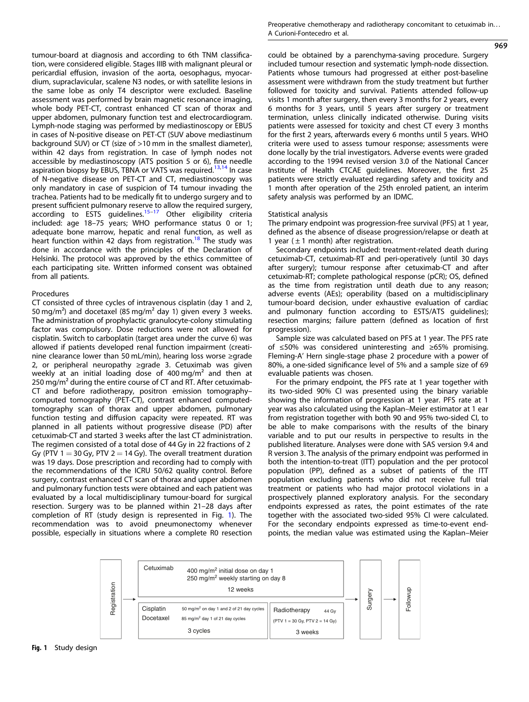tumour-board at diagnosis and according to 6th TNM classification, were considered eligible. Stages IIIB with malignant pleural or pericardial effusion, invasion of the aorta, oesophagus, myocardium, supraclavicular, scalene N3 nodes, or with satellite lesions in the same lobe as only T4 descriptor were excluded. Baseline assessment was performed by brain magnetic resonance imaging, whole body PET-CT, contrast enhanced CT scan of thorax and upper abdomen, pulmonary function test and electrocardiogram. Lymph-node staging was performed by mediastinoscopy or EBUS in cases of N-positive disease on PET-CT (SUV above mediastinum background SUV) or CT (size of >10 mm in the smallest diameter), within 42 days from registration. In case of lymph nodes not accessible by mediastinoscopy (ATS position 5 or 6), fine needle aspiration biopsy by EBUS, TBNA or VATS was required.<sup>[13,14](#page-5-0)</sup> In case of N-negative disease on PET-CT and CT, mediastinoscopy was only mandatory in case of suspicion of T4 tumour invading the trachea. Patients had to be medically fit to undergo surgery and to present sufficient pulmonary reserve to allow the required surgery, according to ESTS guidelines.<sup>[15](#page-5-0)-[17](#page-5-0)</sup> Other eligibility criteria included: age 18–75 years; WHO performance status 0 or 1; adequate bone marrow, hepatic and renal function, as well as heart function within 42 days from registration.<sup>[18](#page-5-0)</sup> The study was done in accordance with the principles of the Declaration of Helsinki. The protocol was approved by the ethics committee of each participating site. Written informed consent was obtained from all patients.

#### Procedures

CT consisted of three cycles of intravenous cisplatin (day 1 and 2, 50 mg/m<sup>2</sup>) and docetaxel (85 mg/m<sup>2</sup> day 1) given every 3 weeks. The administration of prophylactic granulocyte-colony stimulating factor was compulsory. Dose reductions were not allowed for cisplatin. Switch to carboplatin (target area under the curve 6) was allowed if patients developed renal function impairment (creatinine clearance lower than 50 mL/min), hearing loss worse ≥grade 2, or peripheral neuropathy ≥grade 3. Cetuximab was given weekly at an initial loading dose of 400 mg/m² and then at 250 mg/ $m<sup>2</sup>$  during the entire course of CT and RT. After cetuximab-CT and before radiotherapy, positron emission tomography– computed tomography (PET-CT), contrast enhanced computedtomography scan of thorax and upper abdomen, pulmonary function testing and diffusion capacity were repeated. RT was planned in all patients without progressive disease (PD) after cetuximab-CT and started 3 weeks after the last CT administration. The regimen consisted of a total dose of 44 Gy in 22 fractions of 2 Gy (PTV  $1 = 30$  Gy, PTV  $2 = 14$  Gy). The overall treatment duration was 19 days. Dose prescription and recording had to comply with the recommendations of the ICRU 50/62 quality control. Before surgery, contrast enhanced CT scan of thorax and upper abdomen and pulmonary function tests were obtained and each patient was evaluated by a local multidisciplinary tumour-board for surgical resection. Surgery was to be planned within 21–28 days after completion of RT (study design is represented in Fig. 1). The recommendation was to avoid pneumonectomy whenever possible, especially in situations where a complete R0 resection 969

could be obtained by a parenchyma-saving procedure. Surgery included tumour resection and systematic lymph-node dissection. Patients whose tumours had progressed at either post-baseline assessment were withdrawn from the study treatment but further followed for toxicity and survival. Patients attended follow-up visits 1 month after surgery, then every 3 months for 2 years, every 6 months for 3 years, until 5 years after surgery or treatment termination, unless clinically indicated otherwise. During visits patients were assessed for toxicity and chest CT every 3 months for the first 2 years, afterwards every 6 months until 5 years. WHO criteria were used to assess tumour response; assessments were done locally by the trial investigators. Adverse events were graded according to the 1994 revised version 3.0 of the National Cancer Institute of Health CTCAE guidelines. Moreover, the first 25 patients were strictly evaluated regarding safety and toxicity and 1 month after operation of the 25th enroled patient, an interim safety analysis was performed by an IDMC.

#### Statistical analysis

The primary endpoint was progression-free survival (PFS) at 1 year, defined as the absence of disease progression/relapse or death at 1 year ( $\pm$  1 month) after registration.

Secondary endpoints included: treatment-related death during cetuximab-CT, cetuximab-RT and peri-operatively (until 30 days after surgery); tumour response after cetuximab-CT and after cetuximab-RT; complete pathological response (pCR); OS, defined as the time from registration until death due to any reason; adverse events (AEs); operability (based on a multidisciplinary tumour-board decision, under exhaustive evaluation of cardiac and pulmonary function according to ESTS/ATS guidelines); resection margins; failure pattern (defined as location of first progression).

Sample size was calculated based on PFS at 1 year. The PFS rate of ≤50% was considered uninteresting and ≥65% promising. Fleming-A' Hern single-stage phase 2 procedure with a power of 80%, a one-sided significance level of 5% and a sample size of 69 evaluable patients was chosen.

For the primary endpoint, the PFS rate at 1 year together with its two-sided 90% CI was presented using the binary variable showing the information of progression at 1 year. PFS rate at 1 year was also calculated using the Kaplan–Meier estimator at 1 ear from registration together with both 90 and 95% two-sided CI, to be able to make comparisons with the results of the binary variable and to put our results in perspective to results in the published literature. Analyses were done with SAS version 9.4 and R version 3. The analysis of the primary endpoint was performed in both the intention-to-treat (ITT) population and the per protocol population (PP), defined as a subset of patients of the ITT population excluding patients who did not receive full trial treatment or patients who had major protocol violations in a prospectively planned exploratory analysis. For the secondary endpoints expressed as rates, the point estimates of the rate together with the associated two-sided 95% CI were calculated. For the secondary endpoints expressed as time-to-event endpoints, the median value was estimated using the Kaplan–Meier

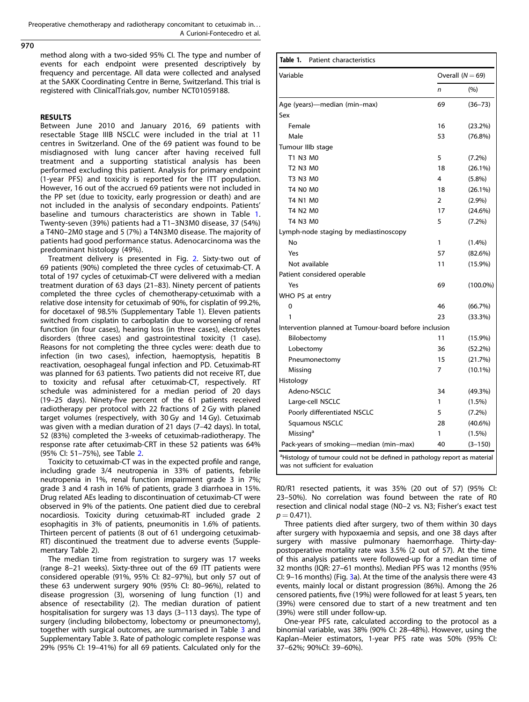Preoperative chemotherapy and radiotherapy concomitant to cetuximab in... A Curioni-Fontecedro et al.

970

method along with a two-sided 95% CI. The type and number of events for each endpoint were presented descriptively by frequency and percentage. All data were collected and analysed at the SAKK Coordinating Centre in Berne, Switzerland. This trial is registered with ClinicalTrials.gov, number NCT01059188.

#### RESULTS

Between June 2010 and January 2016, 69 patients with resectable Stage IIIB NSCLC were included in the trial at 11 centres in Switzerland. One of the 69 patient was found to be misdiagnosed with lung cancer after having received full treatment and a supporting statistical analysis has been performed excluding this patient. Analysis for primary endpoint (1-year PFS) and toxicity is reported for the ITT population. However, 16 out of the accrued 69 patients were not included in the PP set (due to toxicity, early progression or death) and are not included in the analysis of secondary endpoints. Patients' baseline and tumours characteristics are shown in Table 1. Twenty-seven (39%) patients had a T1–3N3M0 disease, 37 (54%) a T4N0–2M0 stage and 5 (7%) a T4N3M0 disease. The majority of patients had good performance status. Adenocarcinoma was the predominant histology (49%).

Treatment delivery is presented in Fig. [2](#page-3-0). Sixty-two out of 69 patients (90%) completed the three cycles of cetuximab-CT. A total of 197 cycles of cetuximab-CT were delivered with a median treatment duration of 63 days (21–83). Ninety percent of patients completed the three cycles of chemotherapy-cetuximab with a relative dose intensity for cetuximab of 90%, for cisplatin of 99.2%, for docetaxel of 98.5% (Supplementary Table 1). Eleven patients switched from cisplatin to carboplatin due to worsening of renal function (in four cases), hearing loss (in three cases), electrolytes disorders (three cases) and gastrointestinal toxicity (1 case). Reasons for not completing the three cycles were: death due to infection (in two cases), infection, haemoptysis, hepatitis B reactivation, oesophageal fungal infection and PD. Cetuximab-RT was planned for 63 patients. Two patients did not receive RT, due to toxicity and refusal after cetuximab-CT, respectively. RT schedule was administered for a median period of 20 days (19–25 days). Ninety-five percent of the 61 patients received radiotherapy per protocol with 22 fractions of 2 Gy with planed target volumes (respectively, with 30 Gy and 14 Gy). Cetuximab was given with a median duration of 21 days (7–42 days). In total, 52 (83%) completed the 3-weeks of cetuximab-radiotherapy. The response rate after cetuximab-CRT in these 52 patients was 64% (95% CI: 51–75%), see Table [2.](#page-3-0)

Toxicity to cetuximab-CT was in the expected profile and range, including grade 3/4 neutropenia in 33% of patients, febrile neutropenia in 1%, renal function impairment grade 3 in 7%; grade 3 and 4 rash in 16% of patients, grade 3 diarrhoea in 15%. Drug related AEs leading to discontinuation of cetuximab-CT were observed in 9% of the patients. One patient died due to cerebral nocardiosis. Toxicity during cetuximab-RT included grade 2 esophagitis in 3% of patients, pneumonitis in 1.6% of patients. Thirteen percent of patients (8 out of 61 undergoing cetuximab-RT) discontinued the treatment due to adverse events (Supplementary Table 2).

The median time from registration to surgery was 17 weeks (range 8–21 weeks). Sixty-three out of the 69 ITT patients were considered operable (91%, 95% CI: 82–97%), but only 57 out of these 63 underwent surgery 90% (95% CI: 80–96%), related to disease progression (3), worsening of lung function (1) and absence of resectability (2). The median duration of patient hospitalisation for surgery was 13 days (3–113 days). The type of surgery (including bilobectomy, lobectomy or pneumonectomy), together with surgical outcomes, are summarised in Table [3](#page-3-0) and Supplementary Table 3. Rate of pathologic complete response was 29% (95% CI: 19–41%) for all 69 patients. Calculated only for the

| Variable                                              |                | Overall $(N = 69)$ |  |  |
|-------------------------------------------------------|----------------|--------------------|--|--|
|                                                       | n              | (%)                |  |  |
| Age (years)—median (min-max)                          | 69             | $(36 - 73)$        |  |  |
| Sex                                                   |                |                    |  |  |
| Female                                                | 16             | $(23.2\%)$         |  |  |
| Male                                                  | 53             | $(76.8\%)$         |  |  |
| Tumour IIIb stage                                     |                |                    |  |  |
| T1 N3 M0                                              | 5              | $(7.2\%)$          |  |  |
| T <sub>2</sub> N <sub>3</sub> M <sub>0</sub>          | 18             | $(26.1\%)$         |  |  |
| T3 N3 M0                                              | 4              | $(5.8\%)$          |  |  |
| <b>T4 N0 M0</b>                                       | 18             | $(26.1\%)$         |  |  |
| T4 N1 M0                                              | $\overline{2}$ | $(2.9\%)$          |  |  |
| T4 N2 M0                                              | 17             | $(24.6\%)$         |  |  |
| T4 N3 M0                                              | 5              | $(7.2\%)$          |  |  |
| Lymph-node staging by mediastinoscopy                 |                |                    |  |  |
| No                                                    | 1              | (1.4%)             |  |  |
| Yes                                                   | 57             | $(82.6\%)$         |  |  |
| Not available                                         | 11             | $(15.9\%)$         |  |  |
| Patient considered operable                           |                |                    |  |  |
| Yes                                                   | 69             | $(100.0\%)$        |  |  |
| WHO PS at entry                                       |                |                    |  |  |
| 0                                                     | 46             | (66.7%)            |  |  |
| 1                                                     | 23             | (33.3%)            |  |  |
| Intervention planned at Tumour-board before inclusion |                |                    |  |  |
| Bilobectomy                                           | 11             | $(15.9\%)$         |  |  |
| Lobectomy                                             | 36             | $(52.2\%)$         |  |  |
| Pneumonectomy                                         | 15             | (21.7%)            |  |  |
| Missing                                               | 7              | $(10.1\%)$         |  |  |
| Histology                                             |                |                    |  |  |
| Adeno-NSCLC                                           | 34             | (49.3%)            |  |  |
| Large-cell NSCLC                                      | 1              | $(1.5\%)$          |  |  |
| Poorly differentiated NSCLC                           | 5              | $(7.2\%)$          |  |  |
| Squamous NSCLC                                        | 28             | $(40.6\%)$         |  |  |
| Missing <sup>a</sup>                                  | 1              | (1.5%)             |  |  |
| Pack-years of smoking-median (min-max)                | 40             | $(3 - 150)$        |  |  |

R0/R1 resected patients, it was 35% (20 out of 57) (95% CI: 23–50%). No correlation was found between the rate of R0 resection and clinical nodal stage (N0–2 vs. N3; Fisher's exact test  $p = 0.471$ .

Three patients died after surgery, two of them within 30 days after surgery with hypoxaemia and sepsis, and one 38 days after surgery with massive pulmonary haemorrhage. Thirty-daypostoperative mortality rate was 3.5% (2 out of 57). At the time of this analysis patients were followed-up for a median time of 32 months (IQR: 27–61 months). Median PFS was 12 months (95% CI: 9–16 months) (Fig. [3](#page-4-0)a). At the time of the analysis there were 43 events, mainly local or distant progression (86%). Among the 26 censored patients, five (19%) were followed for at least 5 years, ten (39%) were censored due to start of a new treatment and ten (39%) were still under follow-up.

One-year PFS rate, calculated according to the protocol as a binomial variable, was 38% (90% CI: 28–48%). However, using the Kaplan–Meier estimators, 1-year PFS rate was 50% (95% CI: 37–62%; 90%CI: 39–60%).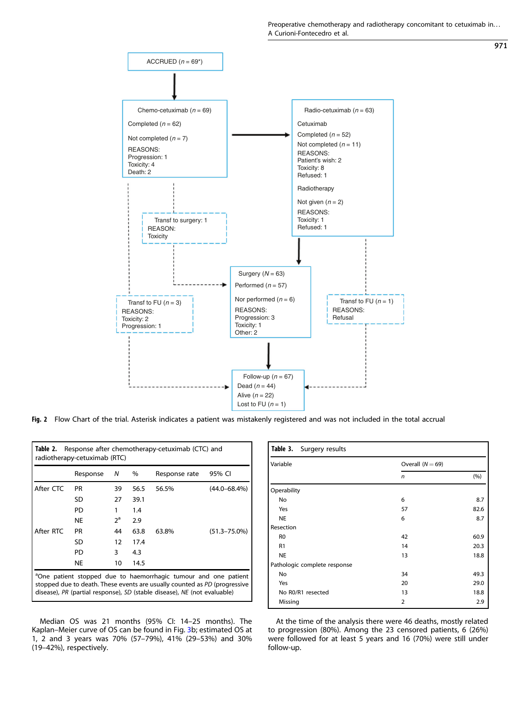Preoperative chemotherapy and radiotherapy concomitant to cetuximab in... A Curioni-Fontecedro et al.

971

<span id="page-3-0"></span>

Fig. 2 Flow Chart of the trial. Asterisk indicates a patient was mistakenly registered and was not included in the total accrual

| Response after chemotherapy-cetuximab (CTC) and<br>Table 2.<br>radiotherapy-cetuximab (RTC)                                                                                                                                          |           |       |      |               |                   |  |  |
|--------------------------------------------------------------------------------------------------------------------------------------------------------------------------------------------------------------------------------------|-----------|-------|------|---------------|-------------------|--|--|
|                                                                                                                                                                                                                                      | Response  | Ν     | %    | Response rate | 95% CI            |  |  |
| After CTC                                                                                                                                                                                                                            | <b>PR</b> | 39    | 56.5 | 56.5%         | $(44.0 - 68.4\%)$ |  |  |
|                                                                                                                                                                                                                                      | SD        | 27    | 39.1 |               |                   |  |  |
|                                                                                                                                                                                                                                      | PD        | 1     | 1.4  |               |                   |  |  |
|                                                                                                                                                                                                                                      | NE        | $2^a$ | 2.9  |               |                   |  |  |
| After RTC                                                                                                                                                                                                                            | <b>PR</b> | 44    | 63.8 | 63.8%         | $(51.3 - 75.0\%)$ |  |  |
|                                                                                                                                                                                                                                      | SD        | 12    | 17.4 |               |                   |  |  |
|                                                                                                                                                                                                                                      | PD        | 3     | 4.3  |               |                   |  |  |
|                                                                                                                                                                                                                                      | NE        | 10    | 14.5 |               |                   |  |  |
| <sup>a</sup> One patient stopped due to haemorrhagic tumour and one patient<br>stopped due to death. These events are usually counted as PD (progressive<br>disease), PR (partial response), SD (stable disease), NE (not evaluable) |           |       |      |               |                   |  |  |

Median OS was 21 months (95% CI: 14–25 months). The Kaplan–Meier curve of OS can be found in Fig. [3](#page-4-0)b; estimated OS at 1, 2 and 3 years was 70% (57–79%), 41% (29–53%) and 30% (19–42%), respectively.

| Table 3. Surgery results     |                    |      |  |  |  |  |
|------------------------------|--------------------|------|--|--|--|--|
| Variable                     | Overall $(N = 69)$ |      |  |  |  |  |
|                              | n                  | (%)  |  |  |  |  |
| Operability                  |                    |      |  |  |  |  |
| No                           | 6                  | 8.7  |  |  |  |  |
| Yes                          | 57                 | 82.6 |  |  |  |  |
| <b>NE</b>                    | 6                  | 8.7  |  |  |  |  |
| Resection                    |                    |      |  |  |  |  |
| R <sub>0</sub>               | 42                 | 60.9 |  |  |  |  |
| R1                           | 14                 | 20.3 |  |  |  |  |
| <b>NE</b>                    | 13                 | 18.8 |  |  |  |  |
| Pathologic complete response |                    |      |  |  |  |  |
| No                           | 34                 | 49.3 |  |  |  |  |
| Yes                          | 20                 | 29.0 |  |  |  |  |
| No R0/R1 resected            | 13                 | 18.8 |  |  |  |  |
| Missing                      | $\overline{2}$     | 2.9  |  |  |  |  |

At the time of the analysis there were 46 deaths, mostly related to progression (80%). Among the 23 censored patients, 6 (26%) were followed for at least 5 years and 16 (70%) were still under follow-up.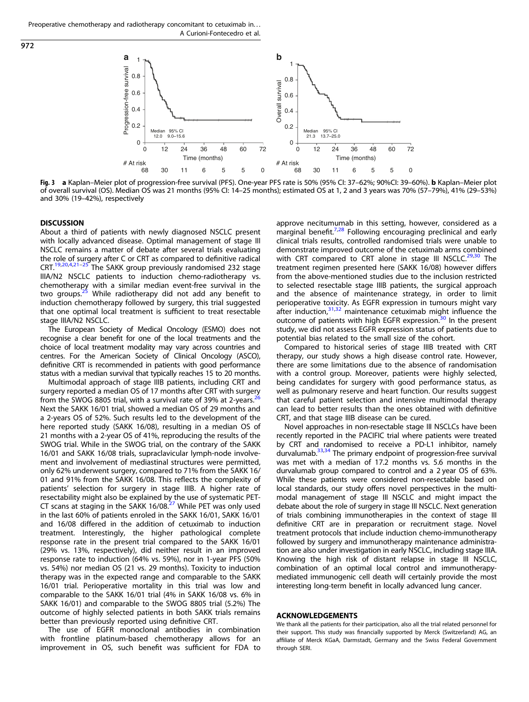

Fig. 3 <sup>a</sup> Kaplan–Meier plot of progression-free survival (PFS). One-year PFS rate is 50% (95% CI: 37–62%; 90%CI: 39–60%). <sup>b</sup> Kaplan–Meier plot of overall survival (OS). Median OS was 21 months (95% CI: 14–25 months); estimated OS at 1, 2 and 3 years was 70% (57–79%), 41% (29–53%) and 30% (19–42%), respectively

#### **DISCUSSION**

<span id="page-4-0"></span>972

About a third of patients with newly diagnosed NSCLC present with locally advanced disease. Optimal management of stage III NSCLC remains a matter of debate after several trials evaluating the role of surgery after C or CRT as compared to definitive radical CRT.[19](#page-6-0),[20](#page-6-0),[4](#page-5-0),[21](#page-6-0)–[25](#page-6-0) The SAKK group previously randomised 232 stage IIIA/N2 NSCLC patients to induction chemo-radiotherapy vs. chemotherapy with a similar median event-free survival in the<br>two groups.<sup>[25](#page-6-0)</sup> While radiotherapy did not add any benefit to induction chemotherapy followed by surgery, this trial suggested that one optimal local treatment is sufficient to treat resectable stage IIIA/N2 NSCLC.

The European Society of Medical Oncology (ESMO) does not recognise a clear benefit for one of the local treatments and the choice of local treatment modality may vary across countries and centres. For the American Society of Clinical Oncology (ASCO), definitive CRT is recommended in patients with good performance status with a median survival that typically reaches 15 to 20 months.

Multimodal approach of stage IIIB patients, including CRT and surgery reported a median OS of 17 months after CRT with surgery from the SWOG 8805 trial, with a survival rate of 39% at 2-years.<sup>[26](#page-6-0)</sup> Next the SAKK 16/01 trial, showed a median OS of 29 months and a 2-years OS of 52%. Such results led to the development of the here reported study (SAKK 16/08), resulting in a median OS of 21 months with a 2-year OS of 41%, reproducing the results of the SWOG trial. While in the SWOG trial, on the contrary of the SAKK 16/01 and SAKK 16/08 trials, supraclavicular lymph-node involvement and involvement of mediastinal structures were permitted, only 62% underwent surgery, compared to 71% from the SAKK 16/ 01 and 91% from the SAKK 16/08. This reflects the complexity of patients' selection for surgery in stage IIIB. A higher rate of resectability might also be explained by the use of systematic PET-CT scans at staging in the SAKK 16/08.<sup>[27](#page-6-0)</sup> While PET was only used in the last 60% of patients enroled in the SAKK 16/01, SAKK 16/01 and 16/08 differed in the addition of cetuximab to induction treatment. Interestingly, the higher pathological complete response rate in the present trial compared to the SAKK 16/01 (29% vs. 13%, respectively), did neither result in an improved response rate to induction (64% vs. 59%), nor in 1-year PFS (50% vs. 54%) nor median OS (21 vs. 29 months). Toxicity to induction therapy was in the expected range and comparable to the SAKK 16/01 trial. Perioperative mortality in this trial was low and comparable to the SAKK 16/01 trial (4% in SAKK 16/08 vs. 6% in SAKK 16/01) and comparable to the SWOG 8805 trial (5.2%) The outcome of highly selected patients in both SAKK trials remains better than previously reported using definitive CRT.

The use of EGFR monoclonal antibodies in combination with frontline platinum-based chemotherapy allows for an improvement in OS, such benefit was sufficient for FDA to approve necitumumab in this setting, however, considered as a  $marginal benefit.<sup>7,28</sup> Following encoding preclinical and early$  $marginal benefit.<sup>7,28</sup> Following encoding preclinical and early$  $marginal benefit.<sup>7,28</sup> Following encoding preclinical and early$ clinical trials results, controlled randomised trials were unable to demonstrate improved outcome of the cetuximab arms combined with CRT compared to CRT alone in stage III NSCLC. $29,30$  The treatment regimen presented here (SAKK 16/08) however differs from the above-mentioned studies due to the inclusion restricted to selected resectable stage IIIB patients, the surgical approach and the absence of maintenance strategy, in order to limit perioperative toxicity. As EGFR expression in tumours might vary after induction, $31,32$  $31,32$  $31,32$  maintenance cetuximab might influence the outcome of patients with high EGFR expression.<sup>[30](#page-6-0)</sup> In the present study, we did not assess EGFR expression status of patients due to potential bias related to the small size of the cohort.

Compared to historical series of stage IIIB treated with CRT therapy, our study shows a high disease control rate. However, there are some limitations due to the absence of randomisation with a control group. Moreover, patients were highly selected, being candidates for surgery with good performance status, as well as pulmonary reserve and heart function. Our results suggest that careful patient selection and intensive multimodal therapy can lead to better results than the ones obtained with definitive CRT, and that stage IIIB disease can be cured.

Novel approaches in non-resectable stage III NSCLCs have been recently reported in the PACIFIC trial where patients were treated by CRT and randomised to receive a PD-L1 inhibitor, namely durvalumab.<sup>33,34</sup> The primary endpoint of progression-free survival was met with a median of 17.2 months vs. 5.6 months in the durvalumab group compared to control and a 2 year OS of 63%. While these patients were considered non-resectable based on local standards, our study offers novel perspectives in the multimodal management of stage III NSCLC and might impact the debate about the role of surgery in stage III NSCLC. Next generation of trials combining immunotherapies in the context of stage III definitive CRT are in preparation or recruitment stage. Novel treatment protocols that include induction chemo-immunotherapy followed by surgery and immunotherapy maintenance administration are also under investigation in early NSCLC, including stage IIIA. Knowing the high risk of distant relapse in stage III NSCLC, combination of an optimal local control and immunotherapymediated immunogenic cell death will certainly provide the most interesting long-term benefit in locally advanced lung cancer.

#### ACKNOWLEDGEMENTS

We thank all the patients for their participation, also all the trial related personnel for their support. This study was financially supported by Merck (Switzerland) AG, an affiliate of Merck KGaA, Darmstadt, Germany and the Swiss Federal Government through SERI.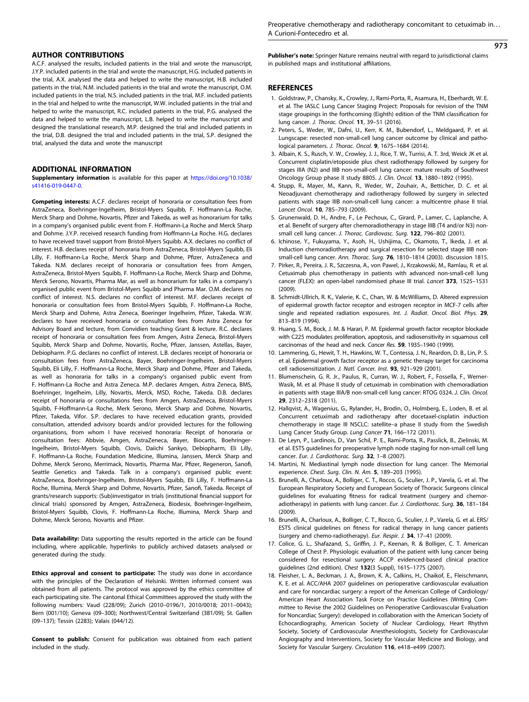# 973

### <span id="page-5-0"></span>AUTHOR CONTRIBUTIONS

A.C.F. analysed the results, included patients in the trial and wrote the manuscript, J.Y.P. included patients in the trial and wrote the manuscript, H.G. included patients in the trial, A.X. analysed the data and helped to write the manuscript, H.B. included patients in the trial, N.M. included patients in the trial and wrote the manuscript, O.M. included patients in the trial, N.S. included patients in the trial, M.F. included patients in the trial and helped to write the manuscript, W.W. included patients in the trial and helped to write the manuscript, R.C. included patients in the trial, P.G. analysed the data and helped to write the manuscript, L.B. helped to write the manuscript and designed the translational research, M.P. designed the trial and included patients in the trial, D.B. designed the trial and included patients in the trial, S.P. designed the trial, analysed the data and wrote the manuscript

# ADDITIONAL INFORMATION

Supplementary information is available for this paper at [https://doi.org/10.1038/](https://doi.org/10.1038/s41416-019-0447-0) [s41416-019-0447-0](https://doi.org/10.1038/s41416-019-0447-0).

Competing interests: A.C.F. declares receipt of honoraria or consultation fees from AstraZeneca, Boehringer-Ingelheim, Bristol-Myers Squibb, F. Hoffmann-La Roche, Merck Sharp and Dohme, Novartis, Pfizer and Takeda, as well as honorarium for talks in a company's organised public event from F. Hoffmann-La Roche and Merck Sharp and Dohme. J.Y.P. received research funding from Hoffmann-La Roche. H.G. declares to have received travel support from Bristol-Myers Squibb. A.X. declares no conflict of interest. H.B. declares receipt of honoraria from AstraZeneca, Bristol-Myers Squibb, Eli Lilly, F. Hoffmann-La Roche, Merck Sharp and Dohme, Pfizer, AstraZeneca and Takeda. N.M. declares receipt of honoraria or consultation fees from Amgen, AstraZeneca, Bristol-Myers Squibb, F. Hoffmann-La Roche, Merck Sharp and Dohme, Merck Serono, Novartis, Pharma Mar, as well as honorarium for talks in a company's organised public event from Bristol-Myers Squibb and Pharma Mar. O.M. declares no conflict of interest. N.S. declares no conflict of interest. M.F. declares receipt of honoraria or consultation fees from Bristol-Myers Squibb, F. Hoffmann-La Roche, Merck Sharp and Dohme, Astra Zeneca, Boeringer Ingelheim, Pfizer, Takeda. W.W. declares to have received honoraria or consultation fees from Astra Zeneca for Advisory Board and lecture, from Convidien teaching Grant & lecture. R.C. declares receipt of honoraria or consultation fees from Amgen, Astra Zeneca, Bristol-Myers Squibb, Merck Sharp and Dohme, Novartis, Roche, Pfizer, Janssen, Astellas, Bayer, Debiopharm. P.G. declares no conflict of interest. L.B. declares receipt of honoraria or consultation fees from AstraZeneca, Bayer, Boehringer-Ingelheim, Bristol-Myers Squibb, Eli Lilly, F. Hoffmann-La Roche, Merck Sharp and Dohme, Pfizer and Takeda, as well as honoraria for talks in a company's organised public event from F. Hoffmann-La Roche and Astra Zeneca. M.P. declares Amgen, Astra Zeneca, BMS, Boehringer, Ingelheim, Lilly, Novartis, Merck, MSD, Roche, Takeda. D.B. declares receipt of honoraria or consultations fees from Amgen, AstraZeneca, Bristol-Myers Squibb, F-Hoffmann-La Roche, Merk Serono, Merck Sharp and Dohme, Novartis, Pfizer, Takeda, Vifor. S.P. declares to have received education grants, provided consultation, attended advisory boards and/or provided lectures for the following organisations, from whom I have received honoraria: Receipt of honoraria or consultation fees: Abbvie, Amgen, AstraZeneca, Bayer, Biocartis, Boehringer-Ingelheim, Bristol-Myers Squibb, Clovis, Daiichi Sankyo, Debiopharm, Eli Lilly, F. Hoffmann-La Roche, Foundation Medicine, Illumina, Janssen, Merck Sharp and Dohme, Merck Serono, Merrimack, Novartis, Pharma Mar, Pfizer, Regeneron, Sanofi, Seattle Genetics and Takeda. Talk in a company's organised public event: AstraZeneca, Boehringer-Ingelheim, Bristol-Myers Squibb, Eli Lilly, F. Hoffmann-La Roche, Illumina, Merck Sharp and Dohme, Novartis, Pfizer, Sanofi, Takeda. Receipt of grants/research supports: (Sub)investigator in trials (institutional financial support for clinical trials) sponsored by Amgen, AstraZeneca, Biodesix, Boehringer-Ingelheim, Bristol-Myers Squibb, Clovis, F. Hoffmann-La Roche, Illumina, Merck Sharp and Dohme, Merck Serono, Novartis and Pfizer.

Data availability: Data supporting the results reported in the article can be found including, where applicable, hyperlinks to publicly archived datasets analysed or generated during the study.

Ethics approval and consent to participate: The study was done in accordance with the principles of the Declaration of Helsinki. Written informed consent was obtained from all patients. The protocol was approved by the ethics committee of each participating site. The cantonal Ethical Committees approved the study with the following numbers: Vaud (228/09); Zurich (2010–0196/1, 2010/0018; 2011–0043); Bern (001/10); Geneva (09–300); Northwest/Central Switzerland (381/09); St. Gallen (09–137); Tessin (2283); Valais (044/12).

Consent to publish: Consent for publication was obtained from each patient included in the study.

Publisher's note: Springer Nature remains neutral with regard to jurisdictional claims in published maps and institutional affiliations.

#### **REFERENCES**

- 1. Goldstraw, P., Chansky, K., Crowley, J., Rami-Porta, R., Asamura, H., Eberhardt, W. E. et al. The IASLC Lung Cancer Staging Project: Proposals for revision of the TNM stage groupings in the forthcoming (Eighth) edition of the TNM classification for lung cancer. J. Thorac. Oncol. 11, 39–51 (2016).
- 2. Peters, S., Weder, W., Dafni, U., Kerr, K. M., Bubendorf, L., Meldgaard, P. et al. Lungscape: resected non-small-cell lung cancer outcome by clinical and pathological parameters. J. Thorac. Oncol. 9, 1675–1684 (2014).
- 3. Albain, K. S., Rusch, V. W., Crowley, J. J., Rice, T. W., Turrisi, A. T. 3rd, Weick JK et al. Concurrent cisplatin/etoposide plus chest radiotherapy followed by surgery for stages IIIA (N2) and IIIB non-small-cell lung cancer: mature results of Southwest Oncology Group phase II study 8805. J. Clin. Oncol. 13, 1880–1892 (1995).
- 4. Stupp, R., Mayer, M., Kann, R., Weder, W., Zouhair, A., Betticher, D. C. et al. Neoadjuvant chemotherapy and radiotherapy followed by surgery in selected patients with stage IIIB non-small-cell lung cancer: a multicentre phase II trial. Lancet Oncol. 10, 785–793 (2009).
- 5. Grunenwald, D. H., Andre, F., Le Pechoux, C., Girard, P., Lamer, C., Laplanche, A. et al. Benefit of surgery after chemoradiotherapy in stage IIIB (T4 and/or N3) nonsmall cell lung cancer. J. Thorac. Cardiovasc. Surg. 122, 796–802 (2001).
- 6. Ichinose, Y., Fukuyama, Y., Asoh, H., Ushijima, C., Okamoto, T., Ikeda, J. et al. Induction chemoradiotherapy and surgical resection for selected stage IIIB nonsmall-cell lung cancer. Ann. Thorac. Surg. 76, 1810–1814 (2003). discussion 1815.
- 7. Pirker, R., Pereira, J. R., Szczesna, A., von Pawel, J., Krzakowski, M., Ramlau, R. et al. Cetuximab plus chemotherapy in patients with advanced non-small-cell lung cancer (FLEX): an open-label randomised phase III trial. Lancet 373, 1525–1531 (2009).
- 8. Schmidt-Ullrich, R. K., Valerie, K. C., Chan, W. & McWilliams, D. Altered expression of epidermal growth factor receptor and estrogen receptor in MCF-7 cells after single and repeated radiation exposures. Int. J. Radiat. Oncol. Biol. Phys. 29, 813–819 (1994).
- 9. Huang, S. M., Bock, J. M. & Harari, P. M. Epidermal growth factor receptor blockade with C225 modulates proliferation, apoptosis, and radiosensitivity in squamous cell carcinomas of the head and neck. Cancer Res. 59, 1935–1940 (1999).
- 10. Lammering, G., Hewit, T. H., Hawkins, W. T., Contessa, J. N., Reardon, D. B., Lin, P. S. et al. Epidermal growth factor receptor as a genetic therapy target for carcinoma cell radiosensitization. J. Natl. Cancer. Inst. 93, 921-929 (2001).
- 11. Blumenschein, G. R. Jr., Paulus, R., Curran, W. J., Robert, F., Fossella, F., Werner-Wasik, M. et al. Phase II study of cetuximab in combination with chemoradiation in patients with stage IIIA/B non-small-cell lung cancer: RTOG 0324. J. Clin. Oncol. 29, 2312–2318 (2011).
- 12. Hallqvist, A., Wagenius, G., Rylander, H., Brodin, O., Holmberg, E., Loden, B. et al. Concurrent cetuximab and radiotherapy after docetaxel-cisplatin induction chemotherapy in stage III NSCLC: satellite–a phase II study from the Swedish Lung Cancer Study Group. Lung Cancer 71, 166–172 (2011).
- 13. De Leyn, P., Lardinois, D., Van Schil, P. E., Rami-Porta, R., Passlick, B., Zielinski, M. et al. ESTS guidelines for preoperative lymph node staging for non-small cell lung cancer. Eur. J. Cardiothorac. Surg. 32, 1–8 (2007).
- 14. Martini, N. Mediastinal lymph node dissection for lung cancer. The Memorial experience. Chest. Surg. Clin. N. Am. 5, 189–203 (1995).
- 15. Brunelli, A., Charloux, A., Bolliger, C. T., Rocco, G., Sculier, J. P., Varela, G. et al. The European Respiratory Society and European Society of Thoracic Surgeons clinical guidelines for evaluating fitness for radical treatment (surgery and chemoradiotherapy) in patients with lung cancer. Eur. J. Cardiothorac. Surg. 36, 181-184 (2009).
- 16. Brunelli, A., Charloux, A., Bolliger, C. T., Rocco, G., Sculier, J. P., Varela, G. et al. ERS/ ESTS clinical guidelines on fitness for radical therapy in lung cancer patients (surgery and chemo-radiotherapy). Eur. Respir. J. 34, 17–41 (2009).
- 17. Colice, G. L., Shafazand, S., Griffin, J. P., Keenan, R. & Bolliger, C. T. American College of Chest P. Physiologic evaluation of the patient with lung cancer being considered for resectional surgery: ACCP evidenced-based clinical practice guidelines (2nd edition). Chest 132(3 Suppl), 161S–177S (2007).
- 18. Fleisher, L. A., Beckman, J. A., Brown, K. A., Calkins, H., Chaikof, E., Fleischmann, K. E. et al. ACC/AHA 2007 guidelines on perioperative cardiovascular evaluation and care for noncardiac surgery: a report of the American College of Cardiology/ American Heart Association Task Force on Practice Guidelines (Writing Committee to Revise the 2002 Guidelines on Perioperative Cardiovascular Evaluation for Noncardiac Surgery): developed in collaboration with the American Society of Echocardiography, American Society of Nuclear Cardiology, Heart Rhythm Society, Society of Cardiovascular Anesthesiologists, Society for Cardiovascular Angiography and Interventions, Society for Vascular Medicine and Biology, and Society for Vascular Surgery. Circulation 116, e418–e499 (2007).